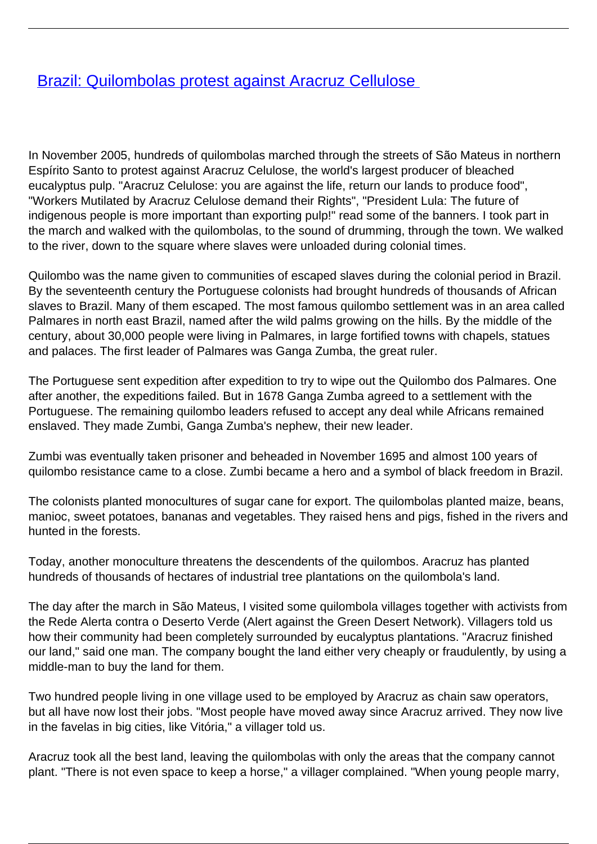## [Brazil: Quilombolas protest against Aracruz Cellulose](/bulletin-articles/brazil-quilombolas-protest-against-aracruz-cellulose)

In November 2005, hundreds of quilombolas marched through the streets of São Mateus in northern Espírito Santo to protest against Aracruz Celulose, the world's largest producer of bleached eucalyptus pulp. "Aracruz Celulose: you are against the life, return our lands to produce food", "Workers Mutilated by Aracruz Celulose demand their Rights", "President Lula: The future of indigenous people is more important than exporting pulp!" read some of the banners. I took part in the march and walked with the quilombolas, to the sound of drumming, through the town. We walked to the river, down to the square where slaves were unloaded during colonial times.

Quilombo was the name given to communities of escaped slaves during the colonial period in Brazil. By the seventeenth century the Portuguese colonists had brought hundreds of thousands of African slaves to Brazil. Many of them escaped. The most famous quilombo settlement was in an area called Palmares in north east Brazil, named after the wild palms growing on the hills. By the middle of the century, about 30,000 people were living in Palmares, in large fortified towns with chapels, statues and palaces. The first leader of Palmares was Ganga Zumba, the great ruler.

The Portuguese sent expedition after expedition to try to wipe out the Quilombo dos Palmares. One after another, the expeditions failed. But in 1678 Ganga Zumba agreed to a settlement with the Portuguese. The remaining quilombo leaders refused to accept any deal while Africans remained enslaved. They made Zumbi, Ganga Zumba's nephew, their new leader.

Zumbi was eventually taken prisoner and beheaded in November 1695 and almost 100 years of quilombo resistance came to a close. Zumbi became a hero and a symbol of black freedom in Brazil.

The colonists planted monocultures of sugar cane for export. The quilombolas planted maize, beans, manioc, sweet potatoes, bananas and vegetables. They raised hens and pigs, fished in the rivers and hunted in the forests.

Today, another monoculture threatens the descendents of the quilombos. Aracruz has planted hundreds of thousands of hectares of industrial tree plantations on the quilombola's land.

The day after the march in São Mateus, I visited some quilombola villages together with activists from the Rede Alerta contra o Deserto Verde (Alert against the Green Desert Network). Villagers told us how their community had been completely surrounded by eucalyptus plantations. "Aracruz finished our land," said one man. The company bought the land either very cheaply or fraudulently, by using a middle-man to buy the land for them.

Two hundred people living in one village used to be employed by Aracruz as chain saw operators, but all have now lost their jobs. "Most people have moved away since Aracruz arrived. They now live in the favelas in big cities, like Vitória," a villager told us.

Aracruz took all the best land, leaving the quilombolas with only the areas that the company cannot plant. "There is not even space to keep a horse," a villager complained. "When young people marry,